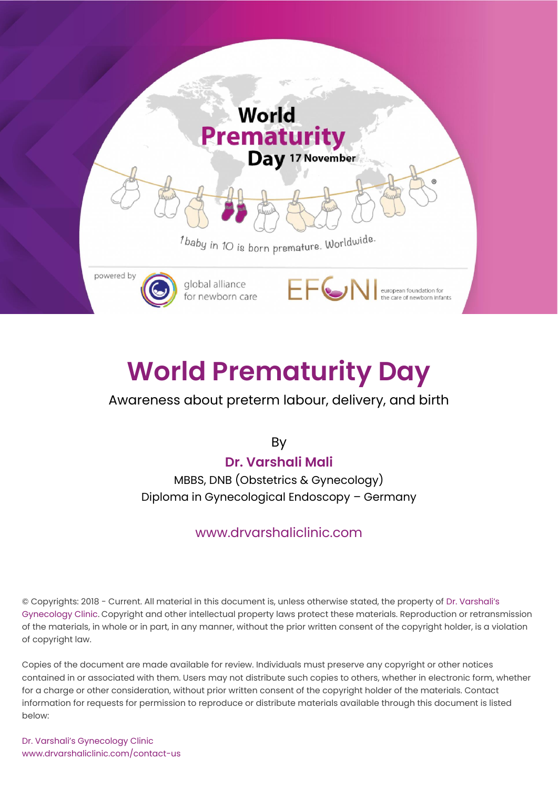

# **[World Prematurity Day](https://www.drvarshaliclinic.com/blog/world-prematurity-day-awareness-about-preterm-labour-delivery-and-birth)**

#### Awareness about preterm labour, delivery, and birth

By

#### **[Dr. Varshali Mali](https://www.drvarshaliclinic.com/about-dr-varshali-mali-gynecologist-and-pregnancy-doctor)**

MBBS, DNB (Obstetrics & Gynecology) Diploma in Gynecological Endoscopy – Germany

#### [www.drvarshaliclinic.com](https://www.drvarshaliclinic.com/)

© Copyrights: 2018 - Current. All material in this document is, unless otherwise stated, the property of Dr. Varshali's Gynecology Clinic. Copyright and other intellectual property laws protect these materials. Reproduction or retransmission of the materials, in whole or in part, in any manner, without the prior written consent of the copyright holder, is a violation of copyright law.

Copies of the document are made available for review. Individuals must preserve any copyright or other notices contained in or associated with them. Users may not distribute such copies to others, whether in electronic form, whether for a charge or other consideration, without prior written consent of the copyright holder of the materials. Contact information for requests for permission to reproduce or distribute materials available through this document is listed below:

Dr. Varshali's Gynecology Clinic [www.drvarshaliclinic.com/contact-us](https://www.drvarshaliclinic.com/contact-us)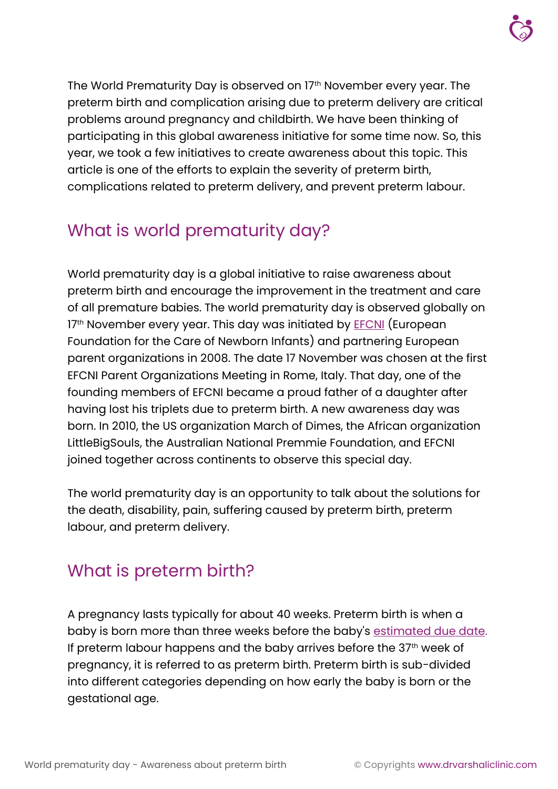

The World Prematurity Day is observed on 17th November every year. The preterm birth and complication arising due to preterm delivery are critical problems around pregnancy and childbirth. We have been thinking of participating in this global awareness initiative for some time now. So, this year, we took a few initiatives to create awareness about this topic. This article is one of the efforts to explain the severity of preterm birth, complications related to preterm delivery, and prevent preterm labour.

# What is world prematurity day?

World prematurity day is a global initiative to raise awareness about preterm birth and encourage the improvement in the treatment and care of all premature babies. The world prematurity day is observed globally on 17<sup>th</sup> November every year. This day was initiated by **EFCNI** (European Foundation for the Care of Newborn Infants) and partnering European parent organizations in 2008. The date 17 November was chosen at the first EFCNI Parent Organizations Meeting in Rome, Italy. That day, one of the founding members of EFCNI became a proud father of a daughter after having lost his triplets due to preterm birth. A new awareness day was born. In 2010, the US organization March of Dimes, the African organization LittleBigSouls, the Australian National Premmie Foundation, and EFCNI joined together across continents to observe this special day.

The world prematurity day is an opportunity to talk about the solutions for the death, disability, pain, suffering caused by preterm birth, preterm labour, and preterm delivery.

### What is preterm birth?

A pregnancy lasts typically for about 40 weeks. Preterm birth is when a baby is born more than three weeks before the baby's [estimated due date.](https://www.drvarshaliclinic.com/learn/pregnancy/pregnancy-due-date-calculator-accurate-duedate-of-baby-arrival) If preterm labour happens and the baby arrives before the  $37<sup>th</sup>$  week of pregnancy, it is referred to as preterm birth. Preterm birth is sub-divided into different categories depending on how early the baby is born or the gestational age.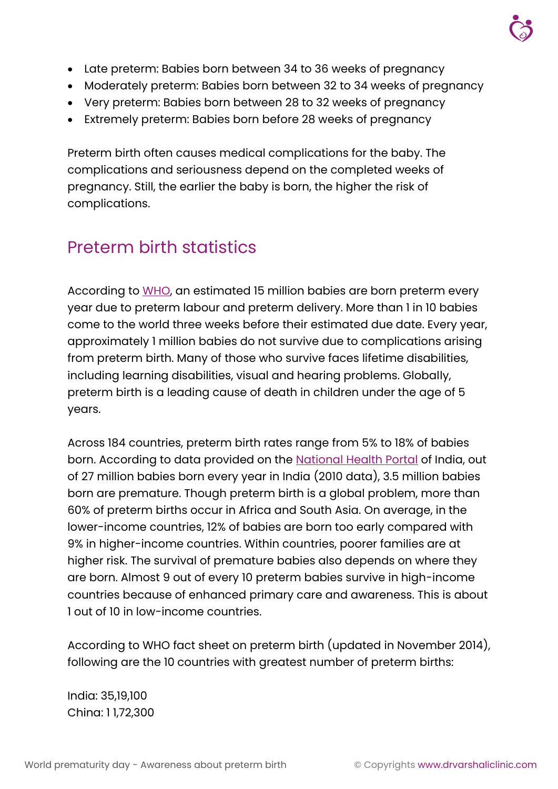

- Late preterm: Babies born between 34 to 36 weeks of pregnancy
- Moderately preterm: Babies born between 32 to 34 weeks of pregnancy
- Very preterm: Babies born between 28 to 32 weeks of pregnancy
- Extremely preterm: Babies born before 28 weeks of pregnancy

Preterm birth often causes medical complications for the baby. The complications and seriousness depend on the completed weeks of pregnancy. Still, the earlier the baby is born, the higher the risk of complications.

# Preterm birth statistics

According to [WHO,](https://www.who.int/news-room/fact-sheets/detail/preterm-birth) an estimated 15 million babies are born preterm every year due to preterm labour and preterm delivery. More than 1 in 10 babies come to the world three weeks before their estimated due date. Every year, approximately 1 million babies do not survive due to complications arising from preterm birth. Many of those who survive faces lifetime disabilities, including learning disabilities, visual and hearing problems. Globally, preterm birth is a leading cause of death in children under the age of 5 years.

Across 184 countries, preterm birth rates range from 5% to 18% of babies born. According to data provided on the [National Health Portal](https://www.nhp.gov.in/disease/reproductive-system/female-gynaecological-diseases-/preterm-birth) of India, out of 27 million babies born every year in India (2010 data), 3.5 million babies born are premature. Though preterm birth is a global problem, more than 60% of preterm births occur in Africa and South Asia. On average, in the lower-income countries, 12% of babies are born too early compared with 9% in higher-income countries. Within countries, poorer families are at higher risk. The survival of premature babies also depends on where they are born. Almost 9 out of every 10 preterm babies survive in high-income countries because of enhanced primary care and awareness. This is about 1 out of 10 in low-income countries.

According to WHO fact sheet on preterm birth (updated in November 2014), following are the 10 countries with greatest number of preterm births:

India: 35,19,100 China: 1 1,72,300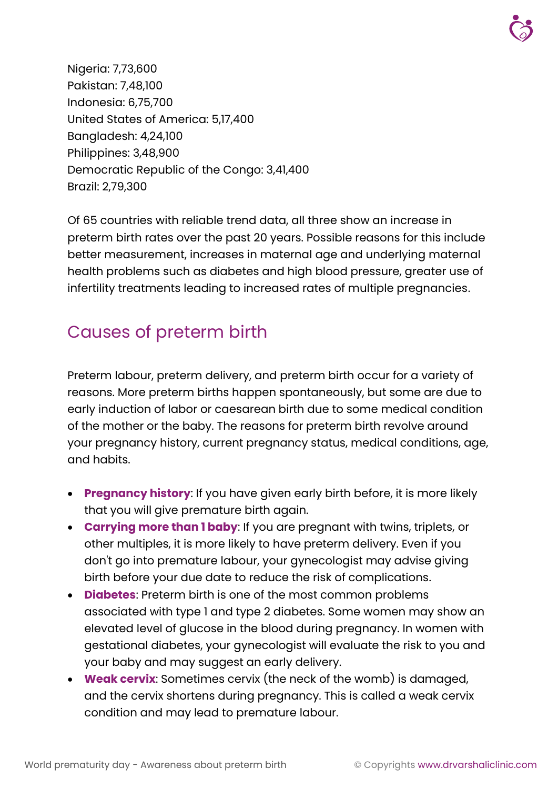Nigeria: 7,73,600 Pakistan: 7,48,100 Indonesia: 6,75,700 United States of America: 5,17,400 Bangladesh: 4,24,100 Philippines: 3,48,900 Democratic Republic of the Congo: 3,41,400 Brazil: 2,79,300

Of 65 countries with reliable trend data, all three show an increase in preterm birth rates over the past 20 years. Possible reasons for this include better measurement, increases in maternal age and underlying maternal health problems such as diabetes and high blood pressure, greater use of infertility treatments leading to increased rates of multiple pregnancies.

# Causes of preterm birth

Preterm labour, preterm delivery, and preterm birth occur for a variety of reasons. More preterm births happen spontaneously, but some are due to early induction of labor or caesarean birth due to some medical condition of the mother or the baby. The reasons for preterm birth revolve around your pregnancy history, current pregnancy status, medical conditions, age, and habits.

- **Pregnancy history**: If you have given early birth before, it is more likely that you will give premature birth again.
- **Carrying more than 1 baby**: If you are pregnant with twins, triplets, or other multiples, it is more likely to have preterm delivery. Even if you don't go into premature labour, your gynecologist may advise giving birth before your due date to reduce the risk of complications.
- **Diabetes**: Preterm birth is one of the most common problems associated with type 1 and type 2 diabetes. Some women may show an elevated level of glucose in the blood during pregnancy. In women with gestational diabetes, your gynecologist will evaluate the risk to you and your baby and may suggest an early delivery.
- **Weak cervix**: Sometimes cervix (the neck of the womb) is damaged, and the cervix shortens during pregnancy. This is called a weak cervix condition and may lead to premature labour.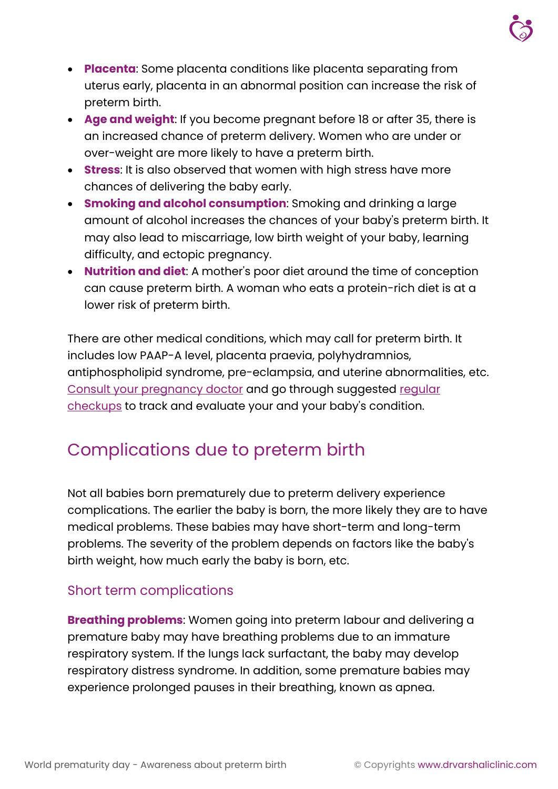

- **Placenta**: Some placenta conditions like placenta separating from uterus early, placenta in an abnormal position can increase the risk of preterm birth.
- **Age and weight**: If you become pregnant before 18 or after 35, there is an increased chance of preterm delivery. Women who are under or over-weight are more likely to have a preterm birth.
- **Stress**: It is also observed that women with high stress have more chances of delivering the baby early.
- **Smoking and alcohol consumption**: Smoking and drinking a large amount of alcohol increases the chances of your baby's preterm birth. It may also lead to miscarriage, low birth weight of your baby, learning difficulty, and ectopic pregnancy.
- **Nutrition and diet**: A mother's poor diet around the time of conception can cause preterm birth. A woman who eats a protein-rich diet is at a lower risk of preterm birth.

There are other medical conditions, which may call for preterm birth. It includes low PAAP-A level, placenta praevia, polyhydramnios, antiphospholipid syndrome, pre-eclampsia, and uterine abnormalities, etc. [Consult your pregnancy doctor](https://www.drvarshaliclinic.com/book-an-appointment?utm_campaign=Book-an-appointment&utm_source=learn&utm_medium=pdf) and go through suggested [regular](https://www.drvarshaliclinic.com/learn/pregnancy/pregnancy-checkup-and-baby-ultrasound-scan-schedule)  [checkups](https://www.drvarshaliclinic.com/learn/pregnancy/pregnancy-checkup-and-baby-ultrasound-scan-schedule) to track and evaluate your and your baby's condition.

### Complications due to preterm birth

Not all babies born prematurely due to preterm delivery experience complications. The earlier the baby is born, the more likely they are to have medical problems. These babies may have short-term and long-term problems. The severity of the problem depends on factors like the baby's birth weight, how much early the baby is born, etc.

#### Short term complications

**Breathing problems**: Women going into preterm labour and delivering a premature baby may have breathing problems due to an immature respiratory system. If the lungs lack surfactant, the baby may develop respiratory distress syndrome. In addition, some premature babies may experience prolonged pauses in their breathing, known as apnea.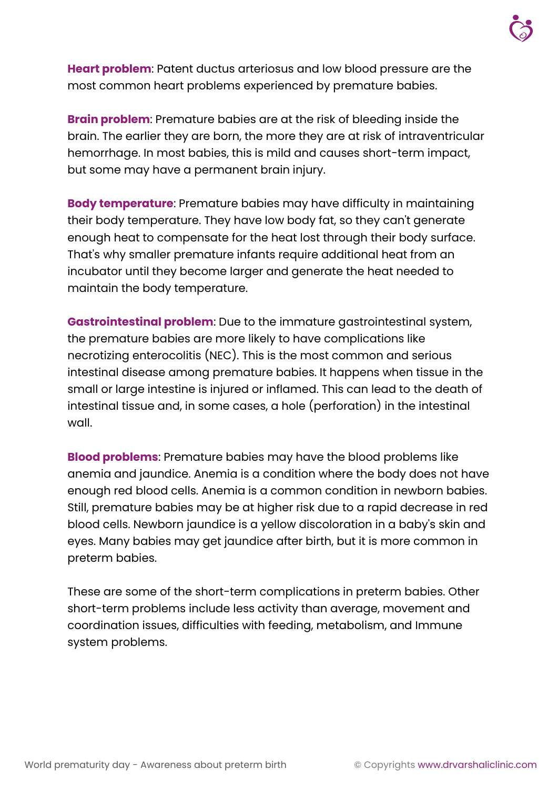

**Heart problem**: Patent ductus arteriosus and low blood pressure are the most common heart problems experienced by premature babies.

**Brain problem**: Premature babies are at the risk of bleeding inside the brain. The earlier they are born, the more they are at risk of intraventricular hemorrhage. In most babies, this is mild and causes short-term impact, but some may have a permanent brain injury.

**Body temperature**: Premature babies may have difficulty in maintaining their body temperature. They have low body fat, so they can't generate enough heat to compensate for the heat lost through their body surface. That's why smaller premature infants require additional heat from an incubator until they become larger and generate the heat needed to maintain the body temperature.

**Gastrointestinal problem**: Due to the immature gastrointestinal system, the premature babies are more likely to have complications like necrotizing enterocolitis (NEC). This is the most common and serious intestinal disease among premature babies. It happens when tissue in the small or large intestine is injured or inflamed. This can lead to the death of intestinal tissue and, in some cases, a hole (perforation) in the intestinal wall.

**Blood problems**: Premature babies may have the blood problems like anemia and jaundice. Anemia is a condition where the body does not have enough red blood cells. Anemia is a common condition in newborn babies. Still, premature babies may be at higher risk due to a rapid decrease in red blood cells. Newborn jaundice is a yellow discoloration in a baby's skin and eyes. Many babies may get jaundice after birth, but it is more common in preterm babies.

These are some of the short-term complications in preterm babies. Other short-term problems include less activity than average, movement and coordination issues, difficulties with feeding, metabolism, and Immune system problems.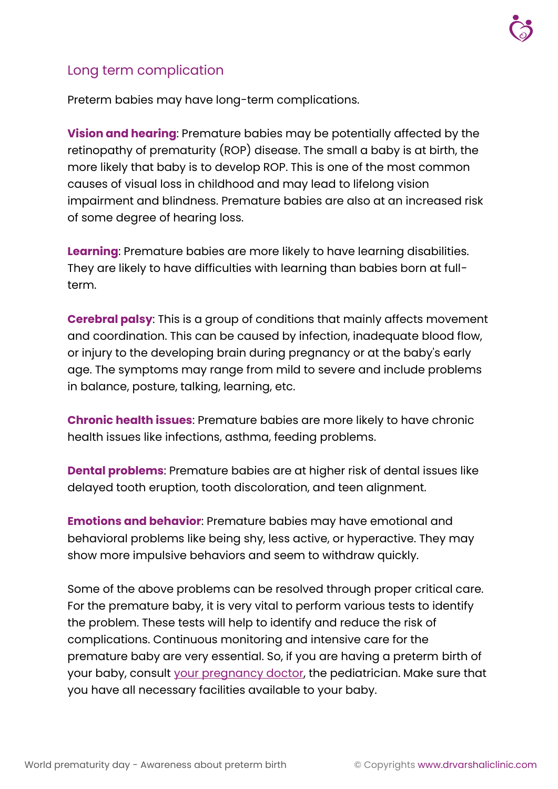#### Long term complication

Preterm babies may have long-term complications.

**Vision and hearing**: Premature babies may be potentially affected by the retinopathy of prematurity (ROP) disease. The small a baby is at birth, the more likely that baby is to develop ROP. This is one of the most common causes of visual loss in childhood and may lead to lifelong vision impairment and blindness. Premature babies are also at an increased risk of some degree of hearing loss.

**Learning**: Premature babies are more likely to have learning disabilities. They are likely to have difficulties with learning than babies born at fullterm.

**Cerebral palsy**: This is a group of conditions that mainly affects movement and coordination. This can be caused by infection, inadequate blood flow, or injury to the developing brain during pregnancy or at the baby's early age. The symptoms may range from mild to severe and include problems in balance, posture, talking, learning, etc.

**Chronic health issues**: Premature babies are more likely to have chronic health issues like infections, asthma, feeding problems.

**Dental problems**: Premature babies are at higher risk of dental issues like delayed tooth eruption, tooth discoloration, and teen alignment.

**Emotions and behavior**: Premature babies may have emotional and behavioral problems like being shy, less active, or hyperactive. They may show more impulsive behaviors and seem to withdraw quickly.

Some of the above problems can be resolved through proper critical care. For the premature baby, it is very vital to perform various tests to identify the problem. These tests will help to identify and reduce the risk of complications. Continuous monitoring and intensive care for the premature baby are very essential. So, if you are having a preterm birth of your baby, consult [your pregnancy doctor,](https://www.drvarshaliclinic.com/about-dr-varshali-mali-gynecologist-and-pregnancy-doctor) the pediatrician. Make sure that you have all necessary facilities available to your baby.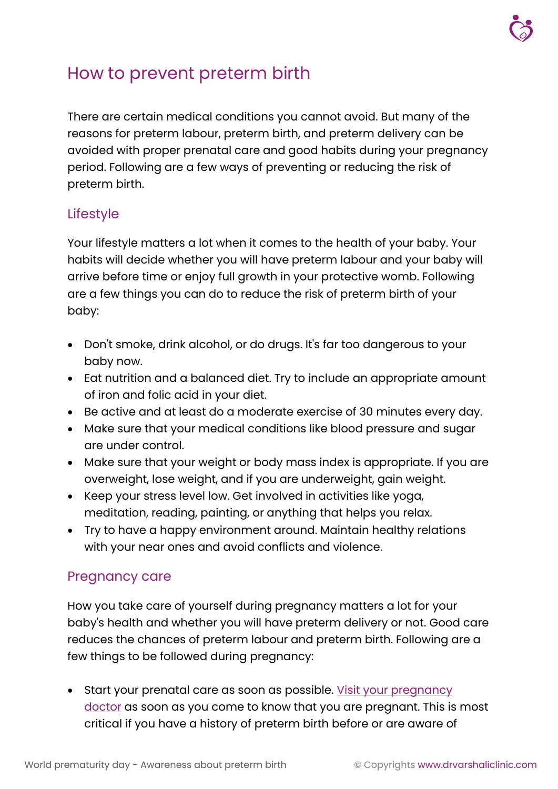

### How to prevent preterm birth

There are certain medical conditions you cannot avoid. But many of the reasons for preterm labour, preterm birth, and preterm delivery can be avoided with proper prenatal care and good habits during your pregnancy period. Following are a few ways of preventing or reducing the risk of preterm birth.

#### Lifestyle

Your lifestyle matters a lot when it comes to the health of your baby. Your habits will decide whether you will have preterm labour and your baby will arrive before time or enjoy full growth in your protective womb. Following are a few things you can do to reduce the risk of preterm birth of your baby:

- Don't smoke, drink alcohol, or do drugs. It's far too dangerous to your baby now.
- Eat nutrition and a balanced diet. Try to include an appropriate amount of iron and folic acid in your diet.
- Be active and at least do a moderate exercise of 30 minutes every day.
- Make sure that your medical conditions like blood pressure and sugar are under control.
- Make sure that your weight or body mass index is appropriate. If you are overweight, lose weight, and if you are underweight, gain weight.
- Keep your stress level low. Get involved in activities like yoga, meditation, reading, painting, or anything that helps you relax.
- Try to have a happy environment around. Maintain healthy relations with your near ones and avoid conflicts and violence.

#### Pregnancy care

How you take care of yourself during pregnancy matters a lot for your baby's health and whether you will have preterm delivery or not. Good care reduces the chances of preterm labour and preterm birth. Following are a few things to be followed during pregnancy:

• Start your prenatal care as soon as possible. Visit your pregnancy [doctor](https://www.drvarshaliclinic.com/book-an-appointment?utm_campaign=Book-an-appointment&utm_source=learn&utm_medium=pdf) as soon as you come to know that you are pregnant. This is most critical if you have a history of preterm birth before or are aware of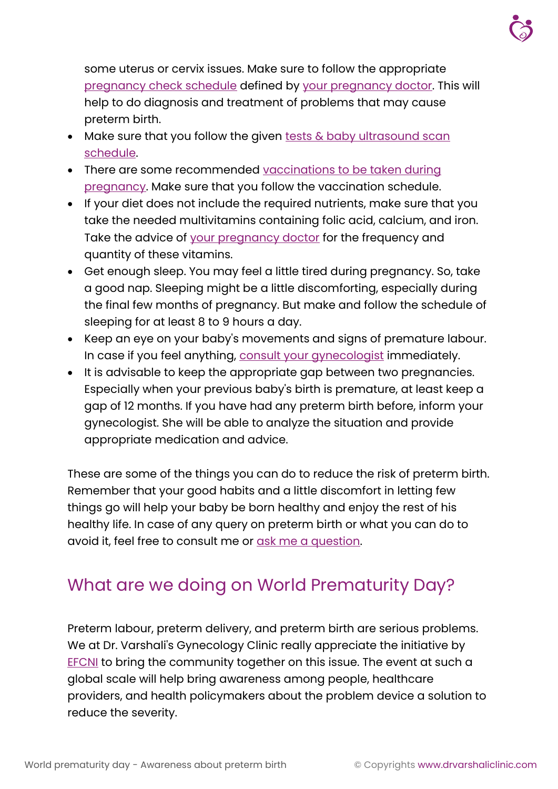

some uterus or cervix issues. Make sure to follow the appropriate [pregnancy check schedule](https://www.drvarshaliclinic.com/learn/pregnancy/pregnancy-checkup-and-baby-ultrasound-scan-schedule) defined by [your pregnancy doctor.](https://www.drvarshaliclinic.com/about-dr-varshali-mali-gynecologist-and-pregnancy-doctor) This will help to do diagnosis and treatment of problems that may cause preterm birth.

- Make sure that you follow the given tests  $\&$  baby ultrasound scan [schedule.](https://www.drvarshaliclinic.com/learn/pregnancy/pregnancy-checkup-and-baby-ultrasound-scan-schedule)
- There are some recommended vaccinations to be taken during [pregnancy.](https://www.drvarshaliclinic.com/learn/pregnancy/vaccine-for-pregnant-woman-TT-injection-and-more-pregnancy-vaccination) Make sure that you follow the vaccination schedule.
- If your diet does not include the required nutrients, make sure that you take the needed multivitamins containing folic acid, calcium, and iron. Take the advice of [your pregnancy doctor](https://www.drvarshaliclinic.com/about-dr-varshali-mali-gynecologist-and-pregnancy-doctor) for the frequency and quantity of these vitamins.
- Get enough sleep. You may feel a little tired during pregnancy. So, take a good nap. Sleeping might be a little discomforting, especially during the final few months of pregnancy. But make and follow the schedule of sleeping for at least 8 to 9 hours a day.
- Keep an eye on your baby's movements and signs of premature labour. In case if you feel anything, [consult your gynecologist](https://www.drvarshaliclinic.com/book-an-appointment?utm_campaign=Book-an-appointment&utm_source=learn&utm_medium=pdf) immediately.
- It is advisable to keep the appropriate gap between two pregnancies. Especially when your previous baby's birth is premature, at least keep a gap of 12 months. If you have had any preterm birth before, inform your gynecologist. She will be able to analyze the situation and provide appropriate medication and advice.

These are some of the things you can do to reduce the risk of preterm birth. Remember that your good habits and a little discomfort in letting few things go will help your baby be born healthy and enjoy the rest of his healthy life. In case of any query on preterm birth or what you can do to avoid it, feel free to consult me or [ask me a question.](https://www.drvarshaliclinic.com/ask-a-question)

### What are we doing on World Prematurity Day?

Preterm labour, preterm delivery, and preterm birth are serious problems. We at Dr. Varshali's Gynecology Clinic really appreciate the initiative by **[EFCNI](https://www.efcni.org/)** to bring the community together on this issue. The event at such a global scale will help bring awareness among people, healthcare providers, and health policymakers about the problem device a solution to reduce the severity.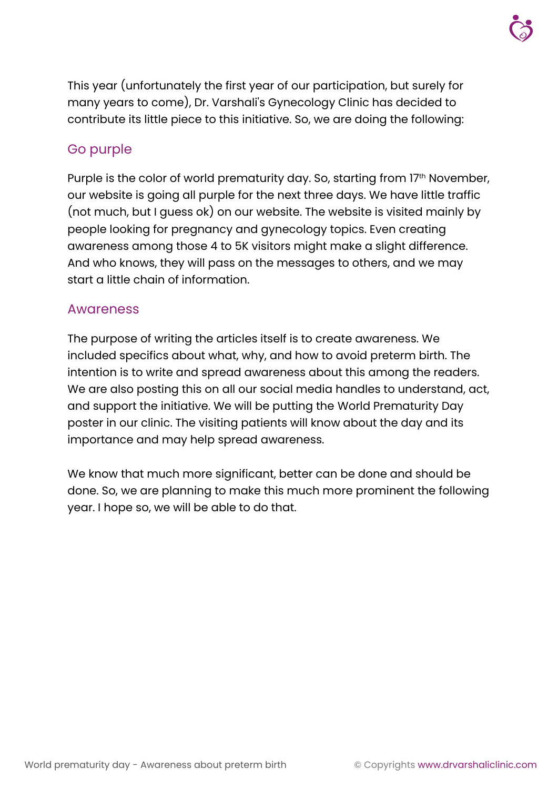This year (unfortunately the first year of our participation, but surely for many years to come), Dr. Varshali's Gynecology Clinic has decided to contribute its little piece to this initiative. So, we are doing the following:

#### Go purple

Purple is the color of world prematurity day. So, starting from 17<sup>th</sup> November, our website is going all purple for the next three days. We have little traffic (not much, but I guess ok) on our website. The website is visited mainly by people looking for pregnancy and gynecology topics. Even creating awareness among those 4 to 5K visitors might make a slight difference. And who knows, they will pass on the messages to others, and we may start a little chain of information.

#### Awareness

The purpose of writing the articles itself is to create awareness. We included specifics about what, why, and how to avoid preterm birth. The intention is to write and spread awareness about this among the readers. We are also posting this on all our social media handles to understand, act, and support the initiative. We will be putting the World Prematurity Day poster in our clinic. The visiting patients will know about the day and its importance and may help spread awareness.

We know that much more significant, better can be done and should be done. So, we are planning to make this much more prominent the following year. I hope so, we will be able to do that.